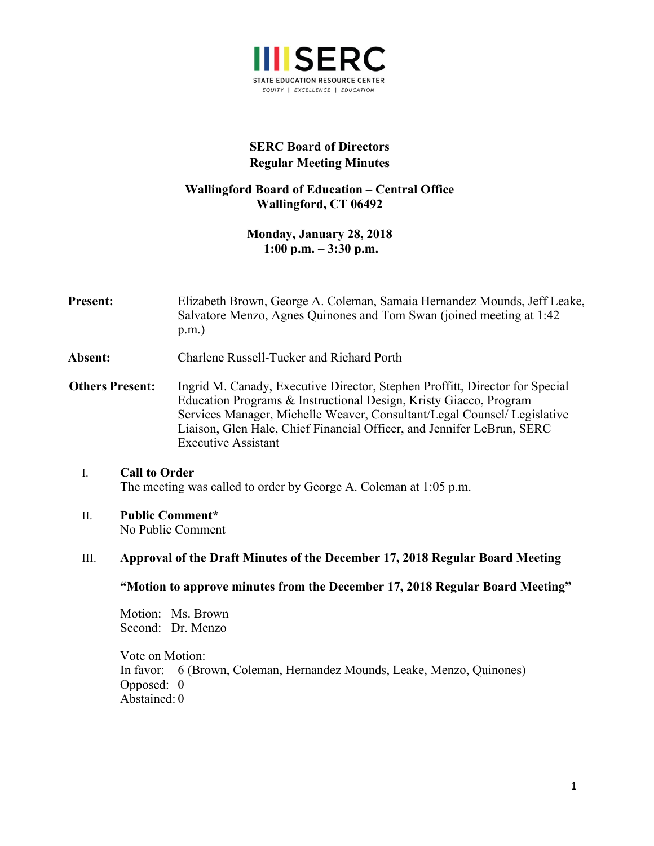

# **SERC Board of Directors Regular Meeting Minutes**

# **Wallingford Board of Education – Central Office Wallingford, CT 06492**

**Monday, January 28, 2018 1:00 p.m. – 3:30 p.m.**

**Present:** Elizabeth Brown, George A. Coleman, Samaia Hernandez Mounds, Jeff Leake, Salvatore Menzo, Agnes Quinones and Tom Swan (joined meeting at 1:42 p.m.)

**Absent:** Charlene Russell-Tucker and Richard Porth

 **Others Present:** Ingrid M. Canady, Executive Director, Stephen Proffitt, Director for Special Education Programs & Instructional Design, Kristy Giacco, Program Services Manager, Michelle Weaver, Consultant/Legal Counsel/ Legislative Liaison, Glen Hale, Chief Financial Officer, and Jennifer LeBrun, SERC Executive Assistant

#### I. **Call to Order** The meeting was called to order by George A. Coleman at 1:05 p.m.

#### II. **Public Comment\***

No Public Comment

#### III. **Approval of the Draft Minutes of the December 17, 2018 Regular Board Meeting**

#### **"Motion to approve minutes from the December 17, 2018 Regular Board Meeting"**

Motion: Ms. Brown Second: Dr. Menzo

Vote on Motion: In favor: 6 (Brown, Coleman, Hernandez Mounds, Leake, Menzo, Quinones) Opposed: 0 Abstained: 0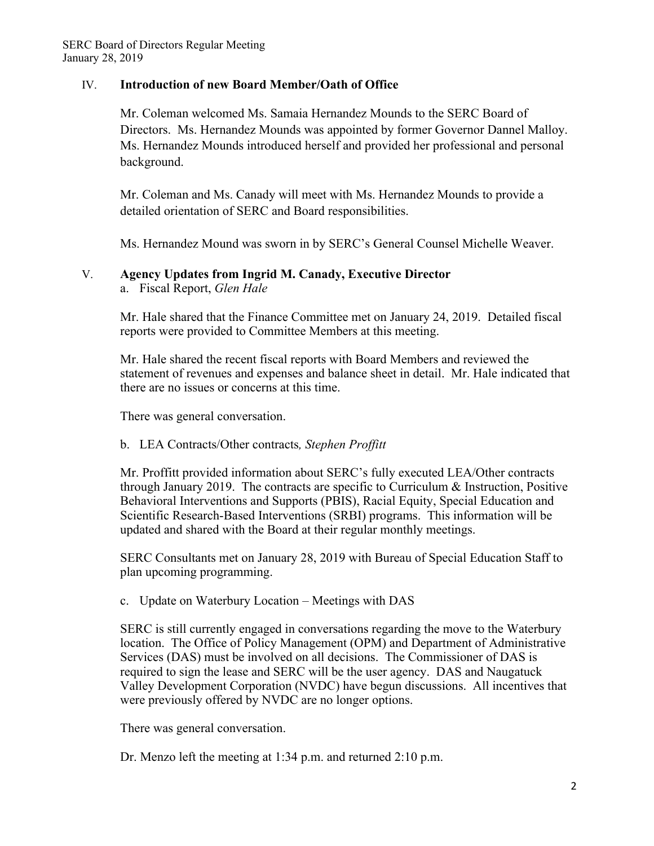# IV. **Introduction of new Board Member/Oath of Office**

Mr. Coleman welcomed Ms. Samaia Hernandez Mounds to the SERC Board of Directors. Ms. Hernandez Mounds was appointed by former Governor Dannel Malloy. Ms. Hernandez Mounds introduced herself and provided her professional and personal background.

Mr. Coleman and Ms. Canady will meet with Ms. Hernandez Mounds to provide a detailed orientation of SERC and Board responsibilities.

Ms. Hernandez Mound was sworn in by SERC's General Counsel Michelle Weaver.

## V. **Agency Updates from Ingrid M. Canady, Executive Director**

a. Fiscal Report, *Glen Hale*

Mr. Hale shared that the Finance Committee met on January 24, 2019. Detailed fiscal reports were provided to Committee Members at this meeting.

Mr. Hale shared the recent fiscal reports with Board Members and reviewed the statement of revenues and expenses and balance sheet in detail. Mr. Hale indicated that there are no issues or concerns at this time.

There was general conversation.

## b. LEA Contracts/Other contracts*, Stephen Proffitt*

Mr. Proffitt provided information about SERC's fully executed LEA/Other contracts through January 2019. The contracts are specific to Curriculum & Instruction, Positive Behavioral Interventions and Supports (PBIS), Racial Equity, Special Education and Scientific Research-Based Interventions (SRBI) programs. This information will be updated and shared with the Board at their regular monthly meetings.

SERC Consultants met on January 28, 2019 with Bureau of Special Education Staff to plan upcoming programming.

c. Update on Waterbury Location – Meetings with DAS

SERC is still currently engaged in conversations regarding the move to the Waterbury location. The Office of Policy Management (OPM) and Department of Administrative Services (DAS) must be involved on all decisions. The Commissioner of DAS is required to sign the lease and SERC will be the user agency. DAS and Naugatuck Valley Development Corporation (NVDC) have begun discussions. All incentives that were previously offered by NVDC are no longer options.

There was general conversation.

Dr. Menzo left the meeting at 1:34 p.m. and returned 2:10 p.m.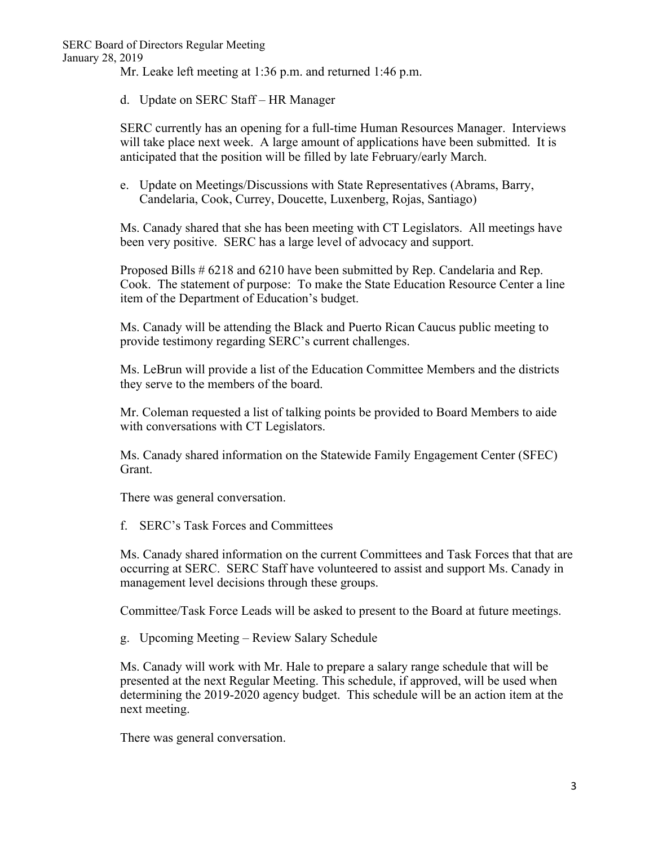Mr. Leake left meeting at 1:36 p.m. and returned 1:46 p.m.

d. Update on SERC Staff – HR Manager

SERC currently has an opening for a full-time Human Resources Manager. Interviews will take place next week. A large amount of applications have been submitted. It is anticipated that the position will be filled by late February/early March.

e. Update on Meetings/Discussions with State Representatives (Abrams, Barry, Candelaria, Cook, Currey, Doucette, Luxenberg, Rojas, Santiago)

Ms. Canady shared that she has been meeting with CT Legislators. All meetings have been very positive. SERC has a large level of advocacy and support.

Proposed Bills # 6218 and 6210 have been submitted by Rep. Candelaria and Rep. Cook. The statement of purpose: To make the State Education Resource Center a line item of the Department of Education's budget.

Ms. Canady will be attending the Black and Puerto Rican Caucus public meeting to provide testimony regarding SERC's current challenges.

Ms. LeBrun will provide a list of the Education Committee Members and the districts they serve to the members of the board.

Mr. Coleman requested a list of talking points be provided to Board Members to aide with conversations with CT Legislators.

Ms. Canady shared information on the Statewide Family Engagement Center (SFEC) Grant.

There was general conversation.

f. SERC's Task Forces and Committees

Ms. Canady shared information on the current Committees and Task Forces that that are occurring at SERC. SERC Staff have volunteered to assist and support Ms. Canady in management level decisions through these groups.

Committee/Task Force Leads will be asked to present to the Board at future meetings.

g. Upcoming Meeting – Review Salary Schedule

Ms. Canady will work with Mr. Hale to prepare a salary range schedule that will be presented at the next Regular Meeting. This schedule, if approved, will be used when determining the 2019-2020 agency budget. This schedule will be an action item at the next meeting.

There was general conversation.